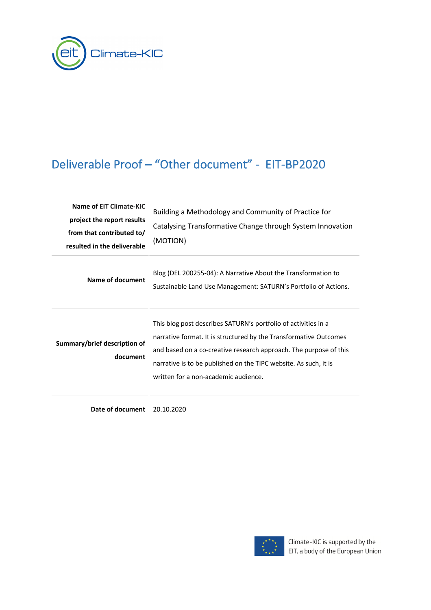

# Deliverable Proof – "Other document" - EIT-BP2020

| Name of EIT Climate-KIC<br>project the report results<br>from that contributed to/<br>resulted in the deliverable | Building a Methodology and Community of Practice for<br>Catalysing Transformative Change through System Innovation<br>(MOTION)                                                                                                                                                                                       |
|-------------------------------------------------------------------------------------------------------------------|----------------------------------------------------------------------------------------------------------------------------------------------------------------------------------------------------------------------------------------------------------------------------------------------------------------------|
| Name of document                                                                                                  | Blog (DEL 200255-04): A Narrative About the Transformation to<br>Sustainable Land Use Management: SATURN's Portfolio of Actions.                                                                                                                                                                                     |
| Summary/brief description of<br>document                                                                          | This blog post describes SATURN's portfolio of activities in a<br>narrative format. It is structured by the Transformative Outcomes<br>and based on a co-creative research approach. The purpose of this<br>narrative is to be published on the TIPC website. As such, it is<br>written for a non-academic audience. |
| Date of document                                                                                                  | 20.10.2020                                                                                                                                                                                                                                                                                                           |

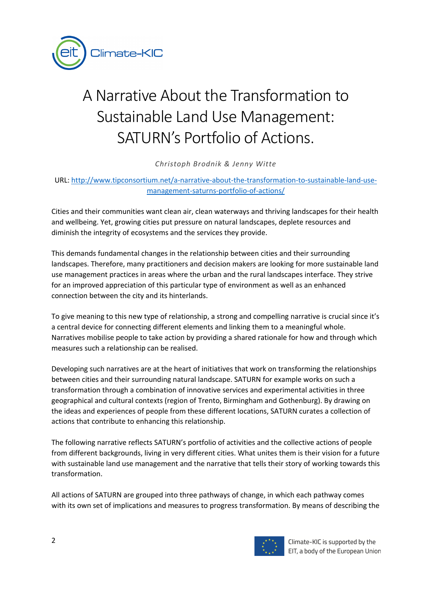

# A Narrative About the Transformation to Sustainable Land Use Management: SATURN's Portfolio of Actions.

*Christoph Brodnik & Jenny Witte* 

URL: http://www.tipconsortium.net/a-narrative-about-the-transformation-to-sustainable-land-usemanagement-saturns-portfolio-of-actions/

Cities and their communities want clean air, clean waterways and thriving landscapes for their health and wellbeing. Yet, growing cities put pressure on natural landscapes, deplete resources and diminish the integrity of ecosystems and the services they provide.

This demands fundamental changes in the relationship between cities and their surrounding landscapes. Therefore, many practitioners and decision makers are looking for more sustainable land use management practices in areas where the urban and the rural landscapes interface. They strive for an improved appreciation of this particular type of environment as well as an enhanced connection between the city and its hinterlands.

To give meaning to this new type of relationship, a strong and compelling narrative is crucial since it's a central device for connecting different elements and linking them to a meaningful whole. Narratives mobilise people to take action by providing a shared rationale for how and through which measures such a relationship can be realised.

Developing such narratives are at the heart of initiatives that work on transforming the relationships between cities and their surrounding natural landscape. SATURN for example works on such a transformation through a combination of innovative services and experimental activities in three geographical and cultural contexts (region of Trento, Birmingham and Gothenburg). By drawing on the ideas and experiences of people from these different locations, SATURN curates a collection of actions that contribute to enhancing this relationship.

The following narrative reflects SATURN's portfolio of activities and the collective actions of people from different backgrounds, living in very different cities. What unites them is their vision for a future with sustainable land use management and the narrative that tells their story of working towards this transformation.

All actions of SATURN are grouped into three pathways of change, in which each pathway comes with its own set of implications and measures to progress transformation. By means of describing the

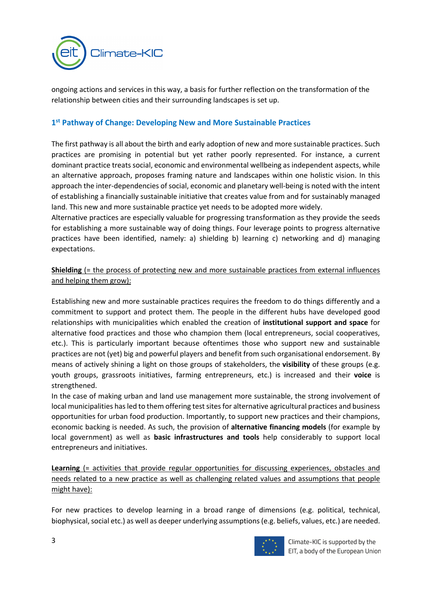

ongoing actions and services in this way, a basis for further reflection on the transformation of the relationship between cities and their surrounding landscapes is set up.

#### **1st Pathway of Change: Developing New and More Sustainable Practices**

The first pathway is all about the birth and early adoption of new and more sustainable practices. Such practices are promising in potential but yet rather poorly represented. For instance, a current dominant practice treats social, economic and environmental wellbeing as independent aspects, while an alternative approach, proposes framing nature and landscapes within one holistic vision. In this approach the inter-dependencies of social, economic and planetary well-being is noted with the intent of establishing a financially sustainable initiative that creates value from and for sustainably managed land. This new and more sustainable practice yet needs to be adopted more widely.

Alternative practices are especially valuable for progressing transformation as they provide the seeds for establishing a more sustainable way of doing things. Four leverage points to progress alternative practices have been identified, namely: a) shielding b) learning c) networking and d) managing expectations.

**Shielding** (= the process of protecting new and more sustainable practices from external influences and helping them grow):

Establishing new and more sustainable practices requires the freedom to do things differently and a commitment to support and protect them. The people in the different hubs have developed good relationships with municipalities which enabled the creation of **institutional support and space** for alternative food practices and those who champion them (local entrepreneurs, social cooperatives, etc.). This is particularly important because oftentimes those who support new and sustainable practices are not (yet) big and powerful players and benefit from such organisational endorsement. By means of actively shining a light on those groups of stakeholders, the **visibility** of these groups (e.g. youth groups, grassroots initiatives, farming entrepreneurs, etc.) is increased and their **voice** is strengthened.

In the case of making urban and land use management more sustainable, the strong involvement of local municipalities has led to them offering test sites for alternative agricultural practices and business opportunities for urban food production. Importantly, to support new practices and their champions, economic backing is needed. As such, the provision of **alternative financing models** (for example by local government) as well as **basic infrastructures and tools** help considerably to support local entrepreneurs and initiatives.

**Learning** (= activities that provide regular opportunities for discussing experiences, obstacles and needs related to a new practice as well as challenging related values and assumptions that people might have):

For new practices to develop learning in a broad range of dimensions (e.g. political, technical, biophysical, social etc.) as well as deeper underlying assumptions (e.g. beliefs, values, etc.) are needed.

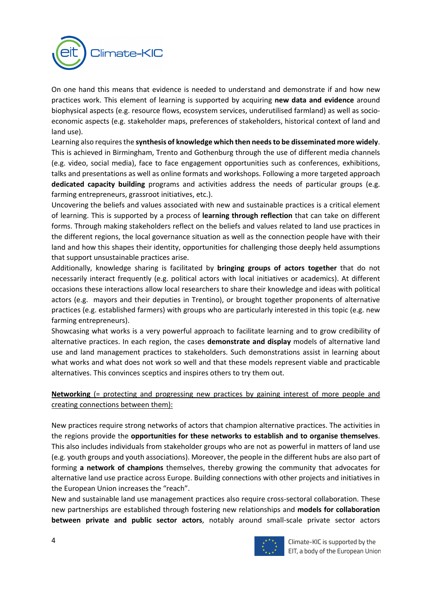

On one hand this means that evidence is needed to understand and demonstrate if and how new practices work. This element of learning is supported by acquiring **new data and evidence** around biophysical aspects (e.g. resource flows, ecosystem services, underutilised farmland) as well as socioeconomic aspects (e.g. stakeholder maps, preferences of stakeholders, historical context of land and land use).

Learning also requires the **synthesis of knowledge which then needs to be disseminated more widely**. This is achieved in Birmingham, Trento and Gothenburg through the use of different media channels (e.g. video, social media), face to face engagement opportunities such as conferences, exhibitions, talks and presentations as well as online formats and workshops. Following a more targeted approach **dedicated capacity building** programs and activities address the needs of particular groups (e.g. farming entrepreneurs, grassroot initiatives, etc.).

Uncovering the beliefs and values associated with new and sustainable practices is a critical element of learning. This is supported by a process of **learning through reflection** that can take on different forms. Through making stakeholders reflect on the beliefs and values related to land use practices in the different regions, the local governance situation as well as the connection people have with their land and how this shapes their identity, opportunities for challenging those deeply held assumptions that support unsustainable practices arise.

Additionally, knowledge sharing is facilitated by **bringing groups of actors together** that do not necessarily interact frequently (e.g. political actors with local initiatives or academics). At different occasions these interactions allow local researchers to share their knowledge and ideas with political actors (e.g. mayors and their deputies in Trentino), or brought together proponents of alternative practices (e.g. established farmers) with groups who are particularly interested in this topic (e.g. new farming entrepreneurs).

Showcasing what works is a very powerful approach to facilitate learning and to grow credibility of alternative practices. In each region, the cases **demonstrate and display** models of alternative land use and land management practices to stakeholders. Such demonstrations assist in learning about what works and what does not work so well and that these models represent viable and practicable alternatives. This convinces sceptics and inspires others to try them out.

# **Networking** (= protecting and progressing new practices by gaining interest of more people and creating connections between them):

New practices require strong networks of actors that champion alternative practices. The activities in the regions provide the **opportunities for these networks to establish and to organise themselves**. This also includes individuals from stakeholder groups who are not as powerful in matters of land use (e.g. youth groups and youth associations). Moreover, the people in the different hubs are also part of forming **a network of champions** themselves, thereby growing the community that advocates for alternative land use practice across Europe. Building connections with other projects and initiatives in the European Union increases the "reach".

New and sustainable land use management practices also require cross-sectoral collaboration. These new partnerships are established through fostering new relationships and **models for collaboration between private and public sector actors**, notably around small-scale private sector actors

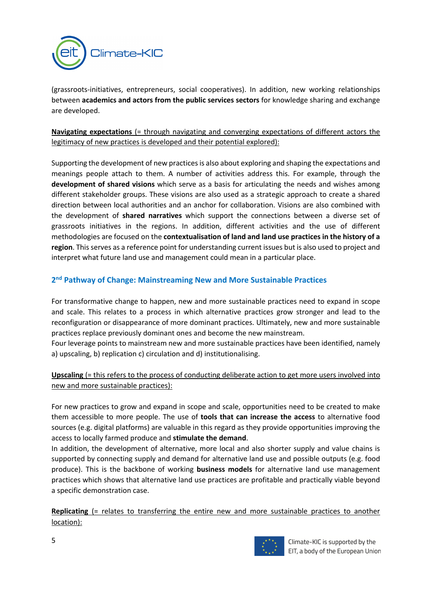

(grassroots-initiatives, entrepreneurs, social cooperatives). In addition, new working relationships between **academics and actors from the public services sectors** for knowledge sharing and exchange are developed.

#### **Navigating expectations** (= through navigating and converging expectations of different actors the legitimacy of new practices is developed and their potential explored):

Supporting the development of new practices is also about exploring and shaping the expectations and meanings people attach to them. A number of activities address this. For example, through the **development of shared visions** which serve as a basis for articulating the needs and wishes among different stakeholder groups. These visions are also used as a strategic approach to create a shared direction between local authorities and an anchor for collaboration. Visions are also combined with the development of **shared narratives** which support the connections between a diverse set of grassroots initiatives in the regions. In addition, different activities and the use of different methodologies are focused on the **contextualisation of land and land use practices in the history of a region**. This serves as a reference point for understanding current issues but is also used to project and interpret what future land use and management could mean in a particular place.

# **2nd Pathway of Change: Mainstreaming New and More Sustainable Practices**

For transformative change to happen, new and more sustainable practices need to expand in scope and scale. This relates to a process in which alternative practices grow stronger and lead to the reconfiguration or disappearance of more dominant practices. Ultimately, new and more sustainable practices replace previously dominant ones and become the new mainstream.

Four leverage points to mainstream new and more sustainable practices have been identified, namely a) upscaling, b) replication c) circulation and d) institutionalising.

Upscaling (= this refers to the process of conducting deliberate action to get more users involved into new and more sustainable practices):

For new practices to grow and expand in scope and scale, opportunities need to be created to make them accessible to more people. The use of **tools that can increase the access** to alternative food sources (e.g. digital platforms) are valuable in this regard as they provide opportunities improving the access to locally farmed produce and **stimulate the demand**.

In addition, the development of alternative, more local and also shorter supply and value chains is supported by connecting supply and demand for alternative land use and possible outputs (e.g. food produce). This is the backbone of working **business models** for alternative land use management practices which shows that alternative land use practices are profitable and practically viable beyond a specific demonstration case.

**Replicating** (= relates to transferring the entire new and more sustainable practices to another location):



Climate-KIC is supported by the EIT, a body of the European Union

5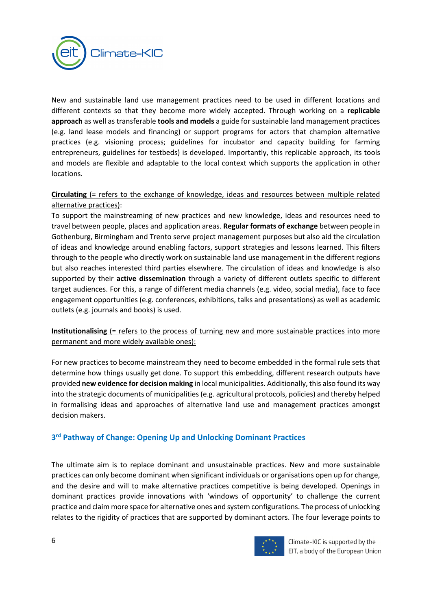

New and sustainable land use management practices need to be used in different locations and different contexts so that they become more widely accepted. Through working on a **replicable approach** as well as transferable **tools and models** a guide for sustainable land management practices (e.g. land lease models and financing) or support programs for actors that champion alternative practices (e.g. visioning process; guidelines for incubator and capacity building for farming entrepreneurs, guidelines for testbeds) is developed. Importantly, this replicable approach, its tools and models are flexible and adaptable to the local context which supports the application in other locations.

#### **Circulating** (= refers to the exchange of knowledge, ideas and resources between multiple related alternative practices):

To support the mainstreaming of new practices and new knowledge, ideas and resources need to travel between people, places and application areas. **Regular formats of exchange** between people in Gothenburg, Birmingham and Trento serve project management purposes but also aid the circulation of ideas and knowledge around enabling factors, support strategies and lessons learned. This filters through to the people who directly work on sustainable land use management in the different regions but also reaches interested third parties elsewhere. The circulation of ideas and knowledge is also supported by their **active dissemination** through a variety of different outlets specific to different target audiences. For this, a range of different media channels (e.g. video, social media), face to face engagement opportunities (e.g. conferences, exhibitions, talks and presentations) as well as academic outlets (e.g. journals and books) is used.

# **Institutionalising** (= refers to the process of turning new and more sustainable practices into more permanent and more widely available ones):

For new practices to become mainstream they need to become embedded in the formal rule sets that determine how things usually get done. To support this embedding, different research outputs have provided **new evidence for decision making** in local municipalities. Additionally, this also found its way into the strategic documents of municipalities (e.g. agricultural protocols, policies) and thereby helped in formalising ideas and approaches of alternative land use and management practices amongst decision makers.

# **3rd Pathway of Change: Opening Up and Unlocking Dominant Practices**

The ultimate aim is to replace dominant and unsustainable practices. New and more sustainable practices can only become dominant when significant individuals or organisations open up for change, and the desire and will to make alternative practices competitive is being developed. Openings in dominant practices provide innovations with 'windows of opportunity' to challenge the current practice and claim more space for alternative ones and system configurations. The process of unlocking relates to the rigidity of practices that are supported by dominant actors. The four leverage points to

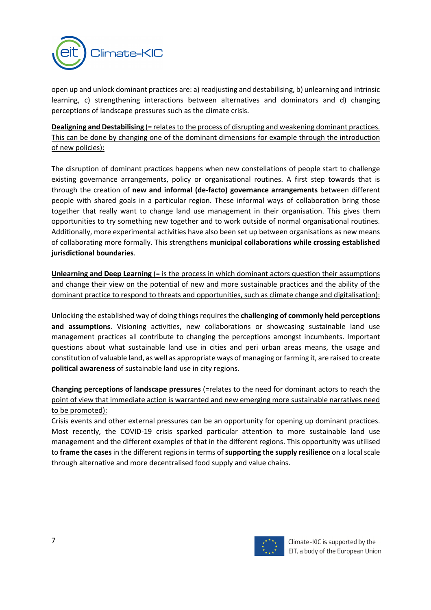

open up and unlock dominant practices are: a) readjusting and destabilising, b) unlearning and intrinsic learning, c) strengthening interactions between alternatives and dominators and d) changing perceptions of landscape pressures such as the climate crisis.

**Dealigning and Destabilising** (= relates to the process of disrupting and weakening dominant practices. This can be done by changing one of the dominant dimensions for example through the introduction of new policies):

The disruption of dominant practices happens when new constellations of people start to challenge existing governance arrangements, policy or organisational routines. A first step towards that is through the creation of **new and informal (de-facto) governance arrangements** between different people with shared goals in a particular region. These informal ways of collaboration bring those together that really want to change land use management in their organisation. This gives them opportunities to try something new together and to work outside of normal organisational routines. Additionally, more experimental activities have also been set up between organisations as new means of collaborating more formally. This strengthens **municipal collaborations while crossing established jurisdictional boundaries**.

**Unlearning and Deep Learning (= is the process in which dominant actors question their assumptions** and change their view on the potential of new and more sustainable practices and the ability of the dominant practice to respond to threats and opportunities, such as climate change and digitalisation):

Unlocking the established way of doing things requires the **challenging of commonly held perceptions and assumptions**. Visioning activities, new collaborations or showcasing sustainable land use management practices all contribute to changing the perceptions amongst incumbents. Important questions about what sustainable land use in cities and peri urban areas means, the usage and constitution of valuable land, as well as appropriate ways of managing or farming it, are raised to create **political awareness** of sustainable land use in city regions.

**Changing perceptions of landscape pressures** (=relates to the need for dominant actors to reach the point of view that immediate action is warranted and new emerging more sustainable narratives need to be promoted):

Crisis events and other external pressures can be an opportunity for opening up dominant practices. Most recently, the COVID-19 crisis sparked particular attention to more sustainable land use management and the different examples of that in the different regions. This opportunity was utilised to **frame the cases** in the different regions in terms of **supporting the supply resilience** on a local scale through alternative and more decentralised food supply and value chains.

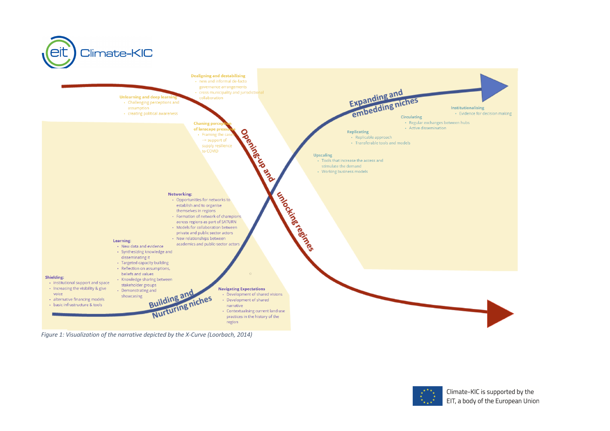

*Figure 1: Visualization of the narrative depicted by the X-Curve (Loorbach, 2014)*